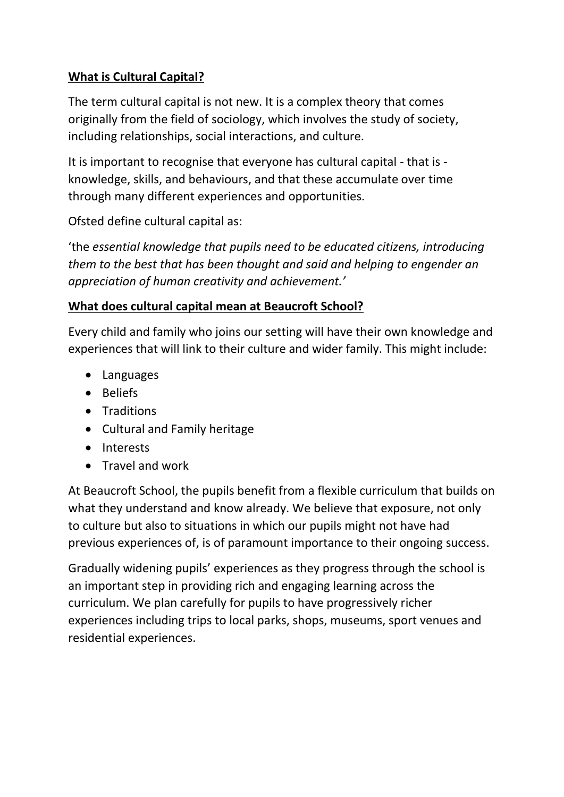## **What is Cultural Capital?**

The term cultural capital is not new. It is a complex theory that comes originally from the field of sociology, which involves the study of society, including relationships, social interactions, and culture.

It is important to recognise that everyone has cultural capital - that is knowledge, skills, and behaviours, and that these accumulate over time through many different experiences and opportunities.

Ofsted define cultural capital as:

'the *essential knowledge that pupils need to be educated citizens, introducing them to the best that has been thought and said and helping to engender an appreciation of human creativity and achievement.'*

## **What does cultural capital mean at Beaucroft School?**

Every child and family who joins our setting will have their own knowledge and experiences that will link to their culture and wider family. This might include:

- Languages
- Beliefs
- Traditions
- Cultural and Family heritage
- Interests
- Travel and work

At Beaucroft School, the pupils benefit from a flexible curriculum that builds on what they understand and know already. We believe that exposure, not only to culture but also to situations in which our pupils might not have had previous experiences of, is of paramount importance to their ongoing success.

Gradually widening pupils' experiences as they progress through the school is an important step in providing rich and engaging learning across the curriculum. We plan carefully for pupils to have progressively richer experiences including trips to local parks, shops, museums, sport venues and residential experiences.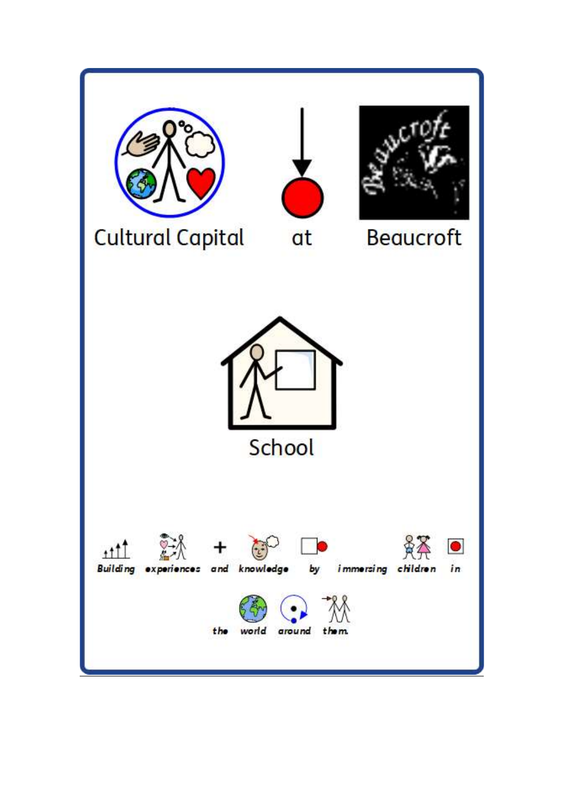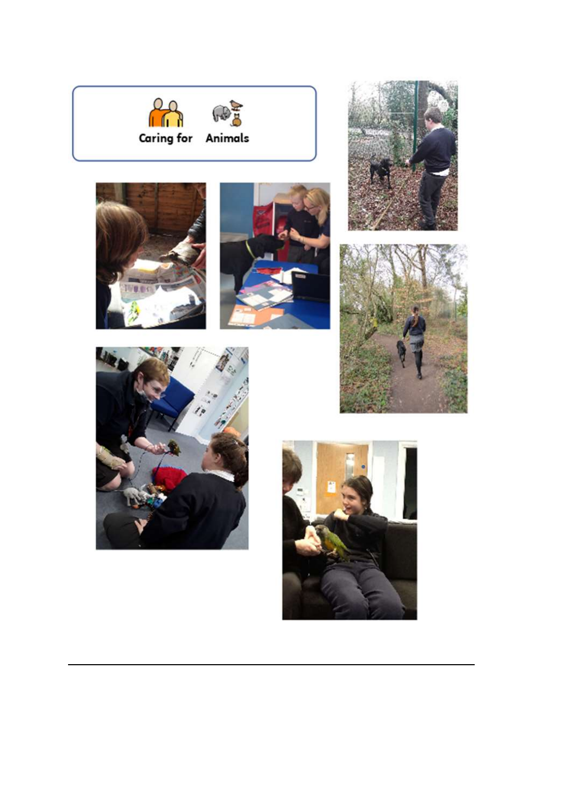











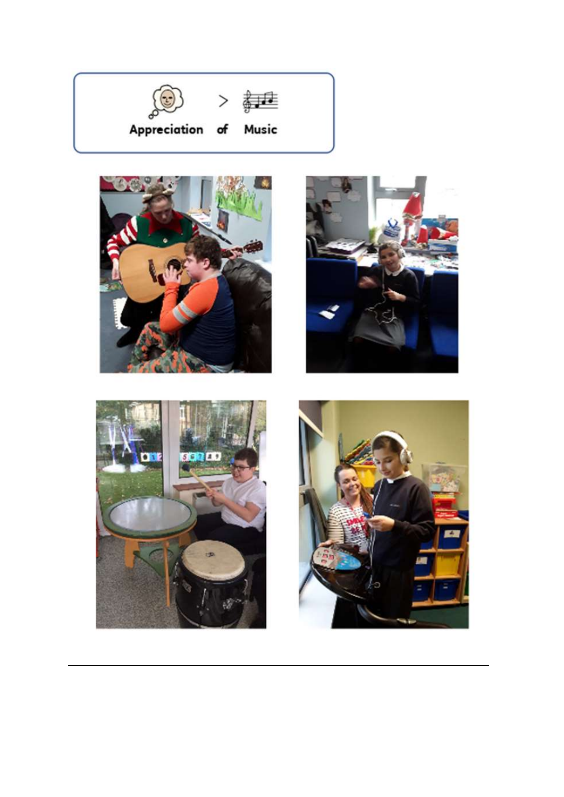







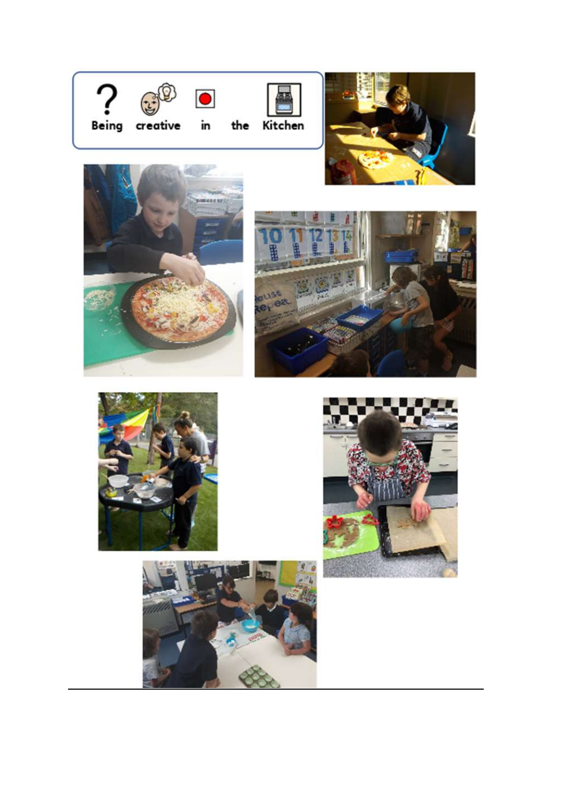















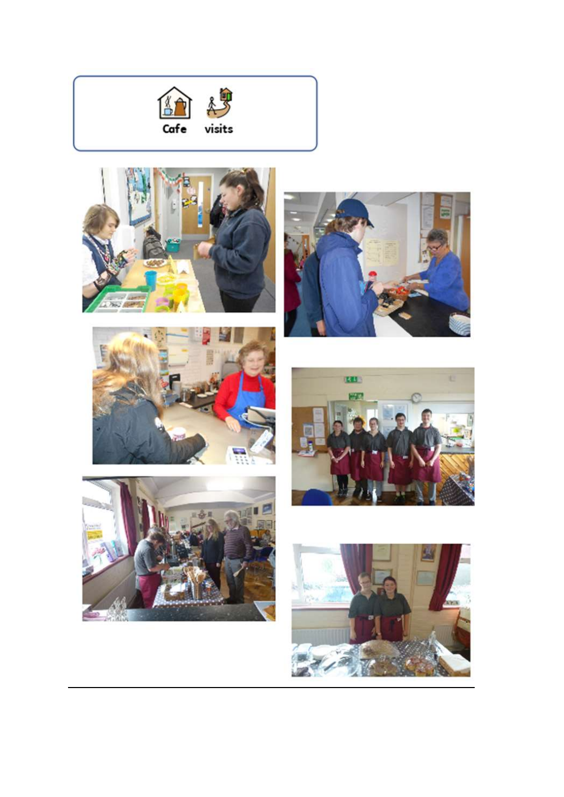











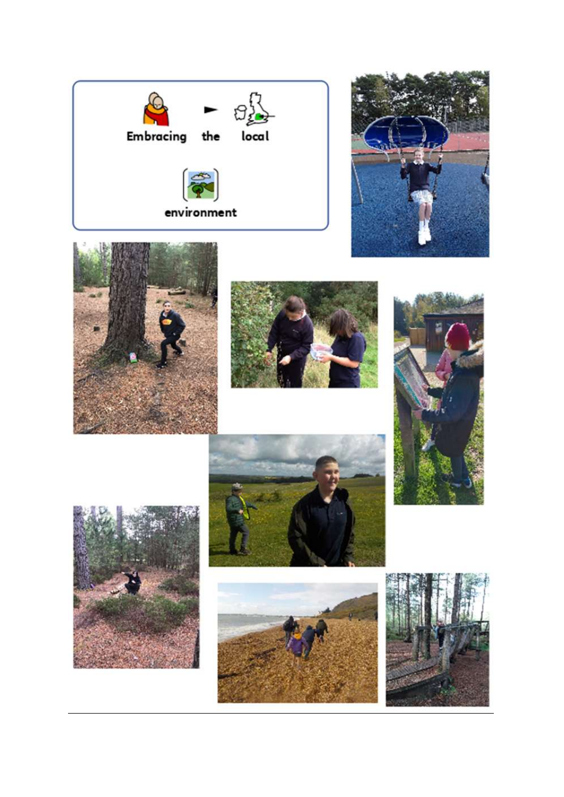















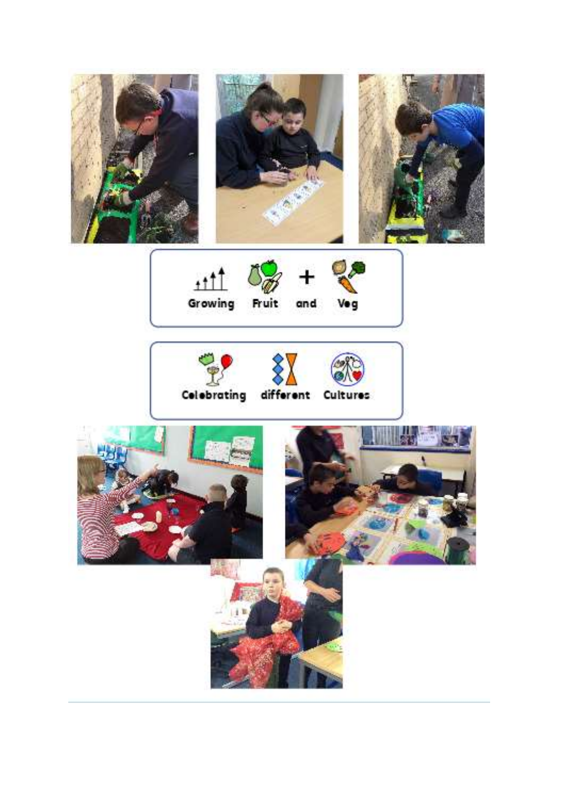